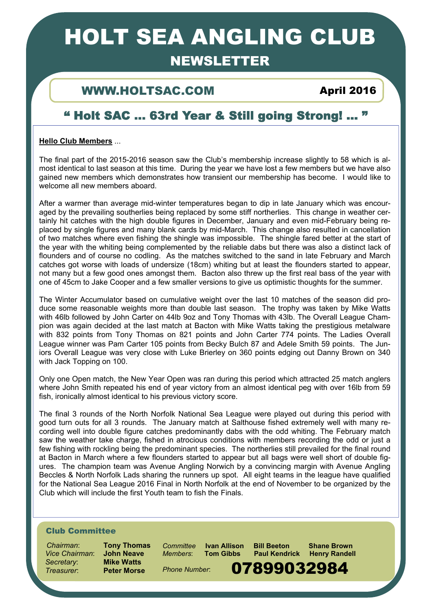# HOLT SEA ANGLING CLUB

# NEWSLETTER

## WWW.HOLTSAC.COM April 2016

# " Holt SAC … 63rd Year & Still going Strong! ... "

### **Hello Club Members** ...

The final part of the 2015-2016 season saw the Club's membership increase slightly to 58 which is almost identical to last season at this time. During the year we have lost a few members but we have also gained new members which demonstrates how transient our membership has become. I would like to welcome all new members aboard.

After a warmer than average mid-winter temperatures began to dip in late January which was encouraged by the prevailing southerlies being replaced by some stiff northerlies. This change in weather certainly hit catches with the high double figures in December, January and even mid-February being replaced by single figures and many blank cards by mid-March. This change also resulted in cancellation of two matches where even fishing the shingle was impossible. The shingle fared better at the start of the year with the whiting being complemented by the reliable dabs but there was also a distinct lack of flounders and of course no codling. As the matches switched to the sand in late February and March catches got worse with loads of undersize (18cm) whiting but at least the flounders started to appear, not many but a few good ones amongst them. Bacton also threw up the first real bass of the year with one of 45cm to Jake Cooper and a few smaller versions to give us optimistic thoughts for the summer.

The Winter Accumulator based on cumulative weight over the last 10 matches of the season did produce some reasonable weights more than double last season. The trophy was taken by Mike Watts with 46lb followed by John Carter on 44lb 9oz and Tony Thomas with 43lb. The Overall League Champion was again decided at the last match at Bacton with Mike Watts taking the prestigious metalware with 832 points from Tony Thomas on 821 points and John Carter 774 points. The Ladies Overall League winner was Pam Carter 105 points from Becky Bulch 87 and Adele Smith 59 points. The Juniors Overall League was very close with Luke Brierley on 360 points edging out Danny Brown on 340 with Jack Topping on 100.

Only one Open match, the New Year Open was ran during this period which attracted 25 match anglers where John Smith repeated his end of year victory from an almost identical peg with over 16lb from 59 fish, ironically almost identical to his previous victory score.

The final 3 rounds of the North Norfolk National Sea League were played out during this period with good turn outs for all 3 rounds. The January match at Salthouse fished extremely well with many recording well into double figure catches predominantly dabs with the odd whiting. The February match saw the weather take charge, fished in atrocious conditions with members recording the odd or just a few fishing with rockling being the predominant species. The northerlies still prevailed for the final round at Bacton in March where a few flounders started to appear but all bags were well short of double figures. The champion team was Avenue Angling Norwich by a convincing margin with Avenue Angling Beccles & North Norfolk Lads sharing the runners up spot. All eight teams in the league have qualified for the National Sea League 2016 Final in North Norfolk at the end of November to be organized by the Club which will include the first Youth team to fish the Finals.

### Club Committee

 *Chairman*: **Tony Thomas** *Vice Chairman*: **John Neave** *Secretary*: **Mike Watts** Treasurer: **Preter Morse** Phone Number: **07899032984** 

*Members*: **Tom Gibbs Paul Kendrick Henry Randell** 

1

*Phone Number*:

*Committee* **Ivan Allison Bill Beeton Shane Brown**